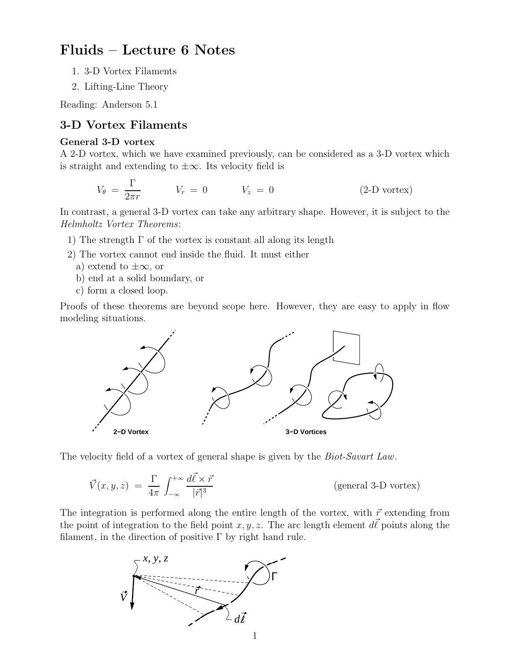# Fluids – Lecture 6 Notes

- 1. 3-D Vortex Filaments
- 2. Lifting-Line Theory

Reading: Anderson 5.1

## 3-D Vortex Filaments

### General 3-D vortex

A 2-D vortex, which we have examined previously, can be considered as a 3-D vortex which is straight and extending to  $\pm\infty$ . Its velocity field is

$$
V_{\theta} = \frac{\Gamma}{2\pi r} \qquad V_r = 0 \qquad V_z = 0 \qquad (2\text{-D vortex})
$$

In contrast, a general 3-D vortex can take any arbitrary shape. However, it is subject to the Helmholtz Vortex Theorems:

- 1) The strength  $\Gamma$  of the vortex is constant all along its length
- 2) The vortex cannot end inside the fluid. It must either
	- a) extend to  $\pm\infty$ , or
	- b) end at a solid boundary, or
	- c) form a closed loop.

Proofs of these theorems are beyond scope here. However, they are easy to apply in flow modeling situations.



The velocity field of a vortex of general shape is given by the *Biot-Savart Law*.

$$
\vec{V}(x, y, z) = \frac{\Gamma}{4\pi} \int_{-\infty}^{+\infty} \frac{d\vec{\ell} \times \vec{r}}{|\vec{r}|^3}
$$
 (general 3-D vortex)

The integration is performed along the entire length of the vortex, with  $\vec{r}$  extending from the point of integration to the field point  $x, y, z$ . The arc length element  $d\vec{\ell}$  points along the filament, in the direction of positive  $\Gamma$  by right hand rule.

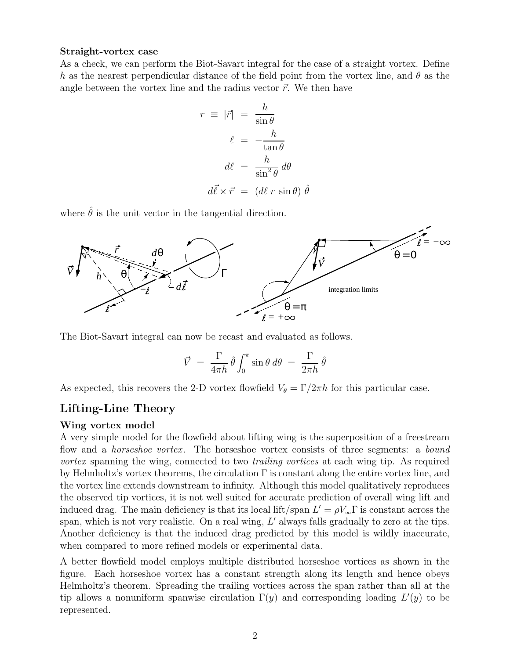#### Straight-vortex case

As a check, we can perform the Biot-Savart integral for the case of a straight vortex. Define h as the nearest perpendicular distance of the field point from the vortex line, and  $\theta$  as the angle between the vortex line and the radius vector  $\vec{r}$ . We then have

$$
r \equiv |\vec{r}| = \frac{h}{\sin \theta}
$$

$$
\ell = -\frac{h}{\tan \theta}
$$

$$
d\ell = \frac{h}{\sin^2 \theta} d\theta
$$

$$
d\vec{\ell} \times \vec{r} = (d\ell \ r \sin \theta) \hat{\theta}
$$

where  $\hat{\theta}$  is the unit vector in the tangential direction.



The Biot-Savart integral can now be recast and evaluated as follows.

$$
\vec{V} = \frac{\Gamma}{4\pi h} \hat{\theta} \int_0^{\pi} \sin \theta \, d\theta = \frac{\Gamma}{2\pi h} \hat{\theta}
$$

As expected, this recovers the 2-D vortex flowfield  $V_{\theta} = \Gamma/2\pi\hbar$  for this particular case.

# Lifting-Line Theory

### Wing vortex model

A very simple model for the flowfield about lifting wing is the superposition of a freestream flow and a *horseshoe vortex*. The horseshoe vortex consists of three segments: a *bound* vortex spanning the wing, connected to two *trailing vortices* at each wing tip. As required by Helmholtz's vortex theorems, the circulation  $\Gamma$  is constant along the entire vortex line, and the vortex line extends downstream to infinity. Although this model qualitatively reproduces the observed tip vortices, it is not well suited for accurate prediction of overall wing lift and induced drag. The main deficiency is that its local lift/span  $L' = \rho V_{\infty} \Gamma$  is constant across the span, which is not very realistic. On a real wing,  $L'$  always falls gradually to zero at the tips. Another deficiency is that the induced drag predicted by this model is wildly inaccurate, when compared to more refined models or experimental data.

A better flowfield model employs multiple distributed horseshoe vortices as shown in the figure. Each horseshoe vortex has a constant strength along its length and hence obeys Helmholtz's theorem. Spreading the trailing vortices across the span rather than all at the tip allows a nonuniform spanwise circulation  $\Gamma(y)$  and corresponding loading  $L'(y)$  to be represented.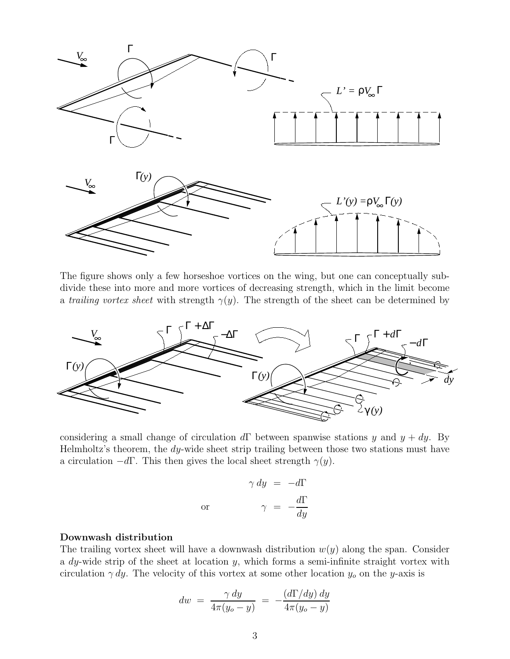

The figure shows only a few horseshoe vortices on the wing, but one can conceptually subdivide these into more and more vortices of decreasing strength, which in the limit become a trailing vortex sheet with strength  $\gamma(y)$ . The strength of the sheet can be determined by



considering a small change of circulation  $d\Gamma$  between spanwise stations y and  $y + dy$ . By Helmholtz's theorem, the dy-wide sheet strip trailing between those two stations must have a circulation  $-d\Gamma$ . This then gives the local sheet strength  $\gamma(y)$ .

$$
\gamma \, dy = -d\Gamma
$$
  
or 
$$
\gamma = -\frac{d\Gamma}{dy}
$$

#### Downwash distribution

The trailing vortex sheet will have a downwash distribution  $w(y)$  along the span. Consider a  $dy$ -wide strip of the sheet at location  $y$ , which forms a semi-infinite straight vortex with circulation  $\gamma dy$ . The velocity of this vortex at some other location  $y_o$  on the y-axis is

$$
dw = \frac{\gamma dy}{4\pi (y_o - y)} = -\frac{(d\Gamma/dy) dy}{4\pi (y_o - y)}
$$